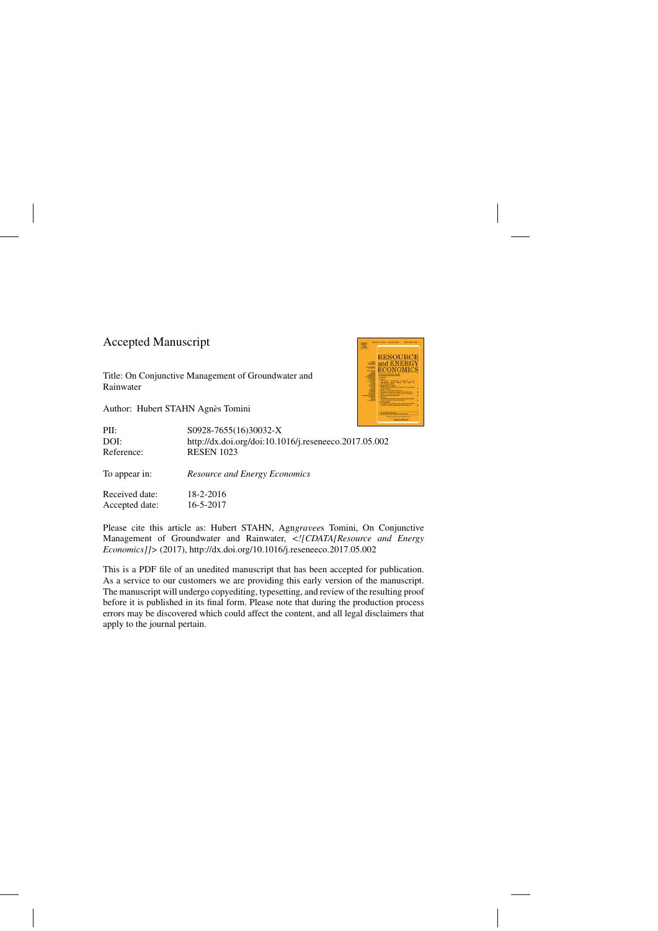### Accepted Manuscript

Title: On Conjunctive Management of Groundwater and Rainwater

Author: Hubert STAHN Agnès Tomini



| PII:<br>DOI:<br>Reference: | S0928-7655(16)30032-X<br>http://dx.doi.org/doi:10.1016/j.reseneeco.2017.05.002<br><b>RESEN 1023</b> |
|----------------------------|-----------------------------------------------------------------------------------------------------|
| To appear in:              | <b>Resource and Energy Economics</b>                                                                |
| Received date:             | 18-2-2016                                                                                           |
| Accepted date:             | 16-5-2017                                                                                           |

Please cite this article as: Hubert STAHN, Agngravees Tomini, On Conjunctive Management of Groundwater and Rainwater, *<![CDATA[Resource and Energy Economics]]>* (2017),<http://dx.doi.org/10.1016/j.reseneeco.2017.05.002>

This is a PDF file of an unedited manuscript that has been accepted for publication. As a service to our customers we are providing this early version of the manuscript. The manuscript will undergo copyediting, typesetting, and review of the resulting proof before it is published in its final form. Please note that during the production process errors may be discovered which could affect the content, and all legal disclaimers that apply to the journal pertain.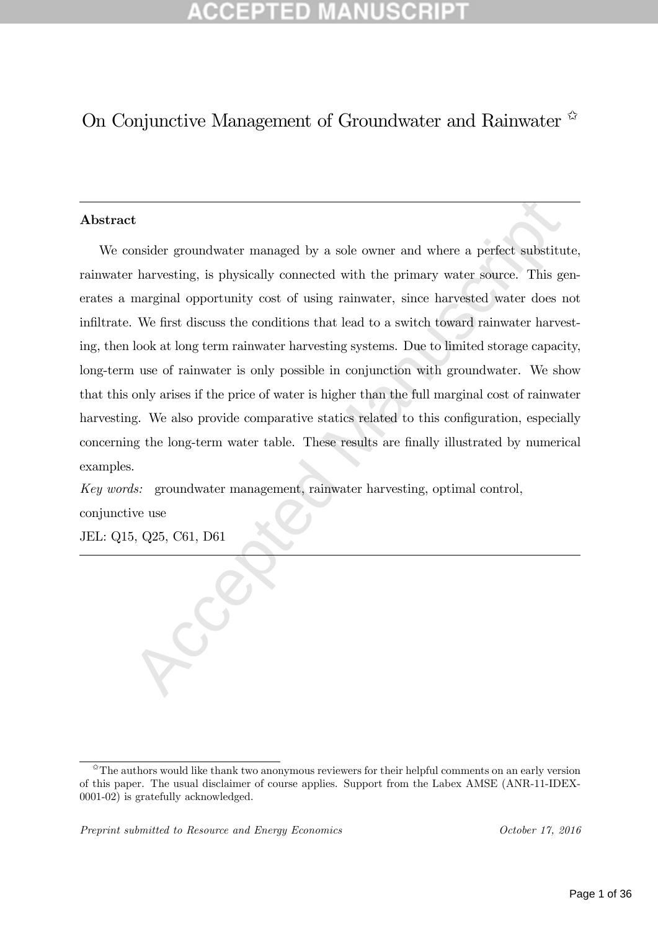# On Conjunctive Management of Groundwater and Rainwater

#### Abstract

Accept and where a perfect substitution is a sole of the primary water and where a perfect substitution in the primary state of the primary water sole of first discuss the conditions that lead to a switch toward minwater h We consider groundwater managed by a sole owner and where a perfect substitute, rainwater harvesting, is physically connected with the primary water source. This generates a marginal opportunity cost of using rainwater, since harvested water does not infiltrate. We first discuss the conditions that lead to a switch toward rainwater harvesting, then look at long term rainwater harvesting systems. Due to limited storage capacity, long-term use of rainwater is only possible in conjunction with groundwater. We show that this only arises if the price of water is higher than the full marginal cost of rainwater harvesting. We also provide comparative statics related to this configuration, especially concerning the long-term water table. These results are finally illustrated by numerical examples.

Key words: groundwater management, rainwater harvesting, optimal control,

conjunctive use

JEL: Q15, Q25, C61, D61

The authors would like thank two anonymous reviewers for their helpful comments on an early version of this paper. The usual disclaimer of course applies. Support from the Labex AMSE (ANR-11-IDEX-0001-02) is gratefully acknowledged.